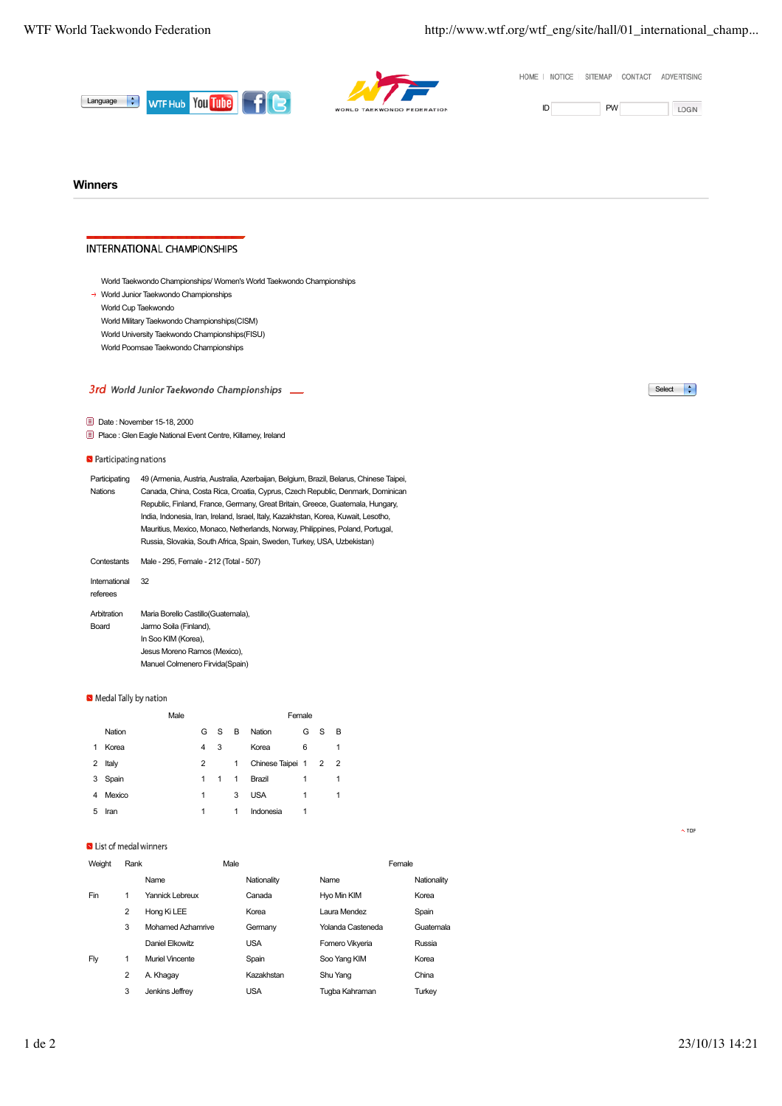HOME | NOTICE | SITEMAP | CONTACT | ADVERTISING





LOGIN

## **Winners**

## **INTERNATIONAL CHAMPIONSHIPS**

World Taekwondo Championships/ Women's World Taekwondo Championships

→ World Junior Taekwondo Championships

World Cup Taekwondo World Military Taekwondo Championships(CISM)

World University Taekwondo Championships(FISU)

World Poomsae Taekwondo Championships

# 3rd World Junior Taekwondo Championships \_\_

Date : November 15-18, 2000

Place : Glen Eagle National Event Centre, Killarney, Ireland

#### **N** Participating nations

| 49 (Armenia, Austria, Australia, Azerbaijan, Belgium, Brazil, Belarus, Chinese Taipei, |
|----------------------------------------------------------------------------------------|
| Canada, China, Costa Rica, Croatia, Cyprus, Czech Republic, Denmark, Dominican         |
| Republic, Finland, France, Germany, Great Britain, Greece, Guatemala, Hungary,         |
| India, Indonesia, Iran, Ireland, Israel, Italy, Kazakhstan, Korea, Kuwait, Lesotho,    |
| Mauritius, Mexico, Monaco, Netherlands, Norway, Philippines, Poland, Portugal,         |
| Russia, Slovakia, South Africa, Spain, Sweden, Turkey, USA, Uzbekistan)                |
|                                                                                        |

Contestants Male - 295, Female - 212 (Total - 507) International 32 referees Arbitration Board Maria Borello Castillo(Guatemala), Jarmo Soila (Finland),

In Soo KIM (Korea), Jesus Moreno Ramos (Mexico), Manuel Colmenero Firvida(Spain)

### Medal Tally by nation

|   |        | Male |                |   |   | Female               |   |   |   |
|---|--------|------|----------------|---|---|----------------------|---|---|---|
|   | Nation |      | G              | S | в | Nation               | G | S | B |
| 1 | Korea  |      | 4              | 3 |   | Korea                | 6 |   | 1 |
| 2 | Italy  |      | $\overline{2}$ |   | 1 | Chinese Taipei 1 2 2 |   |   |   |
| 3 | Spain  |      | 1              | 1 | 1 | Brazil               | 1 |   | 1 |
| 4 | Mexico |      | 1              |   | 3 | <b>USA</b>           | 1 |   | 1 |
| 5 | Iran   |      | 1              |   | 1 | Indonesia            | 1 |   |   |

#### Is List of medal winners

| Weight<br>Rank |                | Male              |  |             | Female            |             |  |
|----------------|----------------|-------------------|--|-------------|-------------------|-------------|--|
|                |                | Name              |  | Nationality | Name              | Nationality |  |
| Fin            | 1              | Yannick Lebreux   |  | Canada      | Hyo Min KIM       | Korea       |  |
|                | $\overline{2}$ | Hong Ki LEE       |  | Korea       | Laura Mendez      | Spain       |  |
|                | 3              | Mohamed Azhamrive |  | Germany     | Yolanda Casteneda | Guatemala   |  |
|                |                | Daniel Elkowitz   |  | <b>USA</b>  | Fomero Vikyeria   | Russia      |  |
| Flv            | 1              | Muriel Vincente   |  | Spain       | Soo Yang KIM      | Korea       |  |
|                | 2              | A. Khagay         |  | Kazakhstan  | Shu Yang          | China       |  |
|                | 3              | Jenkins Jeffrey   |  | <b>USA</b>  | Tugba Kahraman    | Turkey      |  |



 $\overline{\wedge}$  TOP